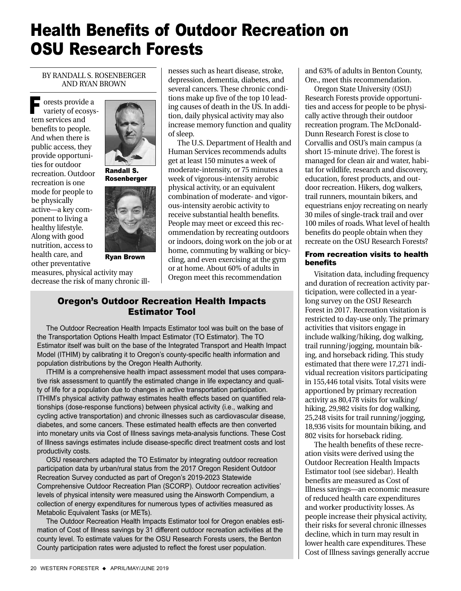# Health Benefits of Outdoor Recreation on OSU Research Forests

BY RANDALL S. ROSENBERGER AND RYAN BROWN

orests provide a variety of ecosystem services and benefits to people. And when there is public access, they provide opportunities for outdoor recreation. Outdoor recreation is one mode for people to be physically active—a key component to living a healthy lifestyle. Along with good nutrition, access to health care, and other preventative F



Randall S. Rosenberger



Ryan Brown

measures, physical activity may decrease the risk of many chronic illnesses such as heart disease, stroke, depression, dementia, diabetes, and several cancers. These chronic conditions make up five of the top 10 leading causes of death in the US. In addition, daily physical activity may also increase memory function and quality of sleep.

The U.S. Department of Health and Human Services recommends adults get at least 150 minutes a week of moderate-intensity, or 75 minutes a week of vigorous-intensity aerobic physical activity, or an equivalent combination of moderate- and vigorous-intensity aerobic activity to receive substantial health benefits. People may meet or exceed this recommendation by recreating outdoors or indoors, doing work on the job or at home, commuting by walking or bicycling, and even exercising at the gym or at home. About 60% of adults in Oregon meet this recommendation

## Oregon's Outdoor Recreation Health Impacts Estimator Tool

The Outdoor Recreation Health Impacts Estimator tool was built on the base of the Transportation Options Health Impact Estimator (TO Estimator). The TO Estimator itself was built on the base of the Integrated Transport and Health Impact Model (ITHIM) by calibrating it to Oregon's county-specific health information and population distributions by the Oregon Health Authority.

ITHIM is a comprehensive health impact assessment model that uses comparative risk assessment to quantify the estimated change in life expectancy and quality of life for a population due to changes in active transportation participation. ITHIM's physical activity pathway estimates health effects based on quantified relationships (dose-response functions) between physical activity (i.e., walking and cycling active transportation) and chronic illnesses such as cardiovascular disease, diabetes, and some cancers. These estimated health effects are then converted into monetary units via Cost of Illness savings meta-analysis functions. These Cost of Illness savings estimates include disease-specific direct treatment costs and lost productivity costs.

OSU researchers adapted the TO Estimator by integrating outdoor recreation participation data by urban/rural status from the 2017 Oregon Resident Outdoor Recreation Survey conducted as part of Oregon's 2019-2023 Statewide Comprehensive Outdoor Recreation Plan (SCORP). Outdoor recreation activities' levels of physical intensity were measured using the Ainsworth Compendium, a collection of energy expenditures for numerous types of activities measured as Metabolic Equivalent Tasks (or METs).

The Outdoor Recreation Health Impacts Estimator tool for Oregon enables estimation of Cost of Illness savings by 31 different outdoor recreation activities at the county level. To estimate values for the OSU Research Forests users, the Benton County participation rates were adjusted to reflect the forest user population.

and 63% of adults in Benton County, Ore., meet this recommendation.

Oregon State University (OSU) Research Forests provide opportunities and access for people to be physically active through their outdoor recreation program. The McDonald-Dunn Research Forest is close to Corvallis and OSU's main campus (a short 15-minute drive). The forest is managed for clean air and water, habitat for wildlife, research and discovery, education, forest products, and outdoor recreation. Hikers, dog walkers, trail runners, mountain bikers, and equestrians enjoy recreating on nearly 30 miles of single-track trail and over 100 miles of roads. What level of health benefits do people obtain when they recreate on the OSU Research Forests?

#### From recreation visits to health benefits

Visitation data, including frequency and duration of recreation activity participation, were collected in a yearlong survey on the OSU Research Forest in 2017. Recreation visitation is restricted to day-use only. The primary activities that visitors engage in include walking/hiking, dog walking, trail running/jogging, mountain biking, and horseback riding. This study estimated that there were 17,271 individual recreation visitors participating in 155,446 total visits. Total visits were apportioned by primary recreation activity as 80,478 visits for walking/ hiking, 29,982 visits for dog walking, 25,248 visits for trail running/jogging, 18,936 visits for mountain biking, and 802 visits for horseback riding.

The health benefits of these recreation visits were derived using the Outdoor Recreation Health Impacts Estimator tool (see sidebar). Health benefits are measured as Cost of Illness savings—an economic measure of reduced health care expenditures and worker productivity losses. As people increase their physical activity, their risks for several chronic illnesses decline, which in turn may result in lower health care expenditures. These Cost of Illness savings generally accrue